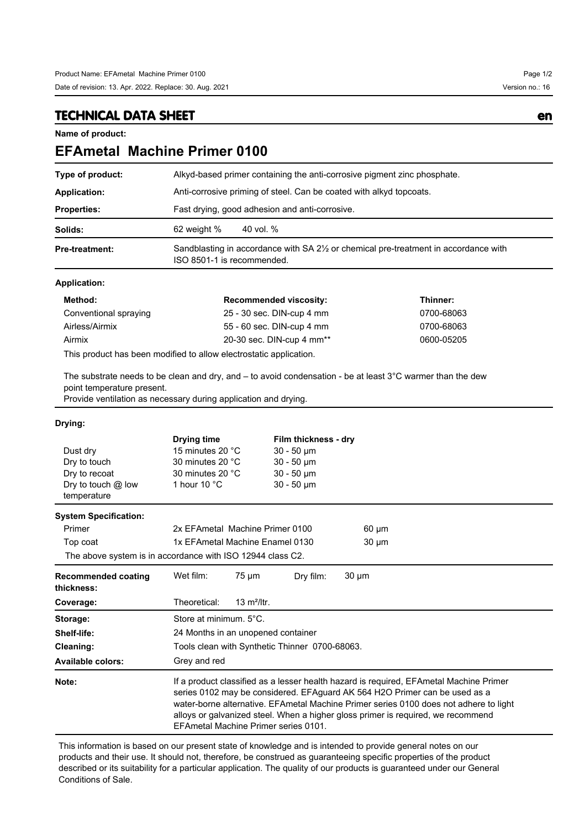### **TECHNICAL DATA SHEET en**

**Name of product:**

# **EFAmetal Machine Primer 0100**

| Type of product:      | Alkyd-based primer containing the anti-corrosive pigment zinc phosphate.                                                       |  |  |
|-----------------------|--------------------------------------------------------------------------------------------------------------------------------|--|--|
| Application:          | Anti-corrosive priming of steel. Can be coated with alkyd topcoats.                                                            |  |  |
| <b>Properties:</b>    | Fast drying, good adhesion and anti-corrosive.                                                                                 |  |  |
| Solids:               | 62 weight %<br>40 vol. %                                                                                                       |  |  |
| <b>Pre-treatment:</b> | Sandblasting in accordance with SA 2 <sup>1/2</sup> or chemical pre-treatment in accordance with<br>ISO 8501-1 is recommended. |  |  |

### **Application:**

| Method:               | <b>Recommended viscosity:</b>         | Thinner:   |
|-----------------------|---------------------------------------|------------|
| Conventional spraying | 25 - 30 sec. DIN-cup 4 mm             | 0700-68063 |
| Airless/Airmix        | 55 - 60 sec. DIN-cup 4 mm             | 0700-68063 |
| Airmix                | 20-30 sec. DIN-cup 4 mm <sup>**</sup> | 0600-05205 |
|                       |                                       |            |

This product has been modified to allow electrostatic application.

The substrate needs to be clean and dry, and – to avoid condensation - be at least 3°C warmer than the dew point temperature present.

Provide ventilation as necessary during application and drying.

#### **Drying:**

| Dust dry<br>Dry to touch<br>Dry to recoat<br>Dry to touch @ low<br>temperature | Drying time<br>15 minutes 20 °C<br>30 minutes 20 °C<br>30 minutes 20 °C<br>1 hour 10 $\degree$ C                                                                                                                                                                                                                                                                                          | Film thickness - dry<br>$30 - 50 \mu m$<br>$30 - 50 \mu m$<br>$30 - 50 \mu m$<br>$30 - 50 \mu m$ |            |  |  |
|--------------------------------------------------------------------------------|-------------------------------------------------------------------------------------------------------------------------------------------------------------------------------------------------------------------------------------------------------------------------------------------------------------------------------------------------------------------------------------------|--------------------------------------------------------------------------------------------------|------------|--|--|
| <b>System Specification:</b>                                                   |                                                                                                                                                                                                                                                                                                                                                                                           |                                                                                                  |            |  |  |
| Primer                                                                         | 2x EFAmetal Machine Primer 0100<br>$60 \mu m$                                                                                                                                                                                                                                                                                                                                             |                                                                                                  |            |  |  |
| Top coat                                                                       | 1x EFAmetal Machine Enamel 0130<br>$30 \mu m$                                                                                                                                                                                                                                                                                                                                             |                                                                                                  |            |  |  |
| The above system is in accordance with ISO 12944 class C2.                     |                                                                                                                                                                                                                                                                                                                                                                                           |                                                                                                  |            |  |  |
| <b>Recommended coating</b><br>thickness:                                       | Wet film:<br>$75 \mu m$                                                                                                                                                                                                                                                                                                                                                                   | Dry film:                                                                                        | $30 \mu m$ |  |  |
| Coverage:                                                                      | Theoretical:<br>13 $m^2$ /ltr.                                                                                                                                                                                                                                                                                                                                                            |                                                                                                  |            |  |  |
| Storage:                                                                       | Store at minimum. 5°C.                                                                                                                                                                                                                                                                                                                                                                    |                                                                                                  |            |  |  |
| Shelf-life:                                                                    | 24 Months in an unopened container                                                                                                                                                                                                                                                                                                                                                        |                                                                                                  |            |  |  |
| Cleaning:                                                                      | Tools clean with Synthetic Thinner 0700-68063.                                                                                                                                                                                                                                                                                                                                            |                                                                                                  |            |  |  |
| <b>Available colors:</b>                                                       | Grey and red                                                                                                                                                                                                                                                                                                                                                                              |                                                                                                  |            |  |  |
| Note:                                                                          | If a product classified as a lesser health hazard is required, EFAmetal Machine Primer<br>series 0102 may be considered. EFAguard AK 564 H2O Primer can be used as a<br>water-borne alternative. EFAmetal Machine Primer series 0100 does not adhere to light<br>alloys or galvanized steel. When a higher gloss primer is required, we recommend<br>EFAmetal Machine Primer series 0101. |                                                                                                  |            |  |  |

This information is based on our present state of knowledge and is intended to provide general notes on our products and their use. It should not, therefore, be construed as guaranteeing specific properties of the product described or its suitability for a particular application. The quality of our products is guaranteed under our General Conditions of Sale.